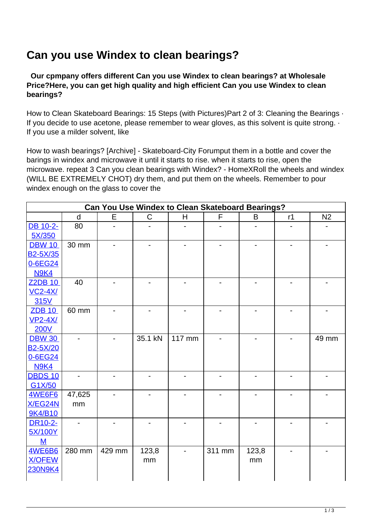## **Can you use Windex to clean bearings?**

 **Our cpmpany offers different Can you use Windex to clean bearings? at Wholesale Price?Here, you can get high quality and high efficient Can you use Windex to clean bearings?**

How to Clean Skateboard Bearings: 15 Steps (with Pictures) Part 2 of 3: Cleaning the Bearings  $\cdot$ If you decide to use acetone, please remember to wear gloves, as this solvent is quite strong.  $\cdot$ If you use a milder solvent, like

How to wash bearings? [Archive] - Skateboard-City Forumput them in a bottle and cover the barings in windex and microwave it until it starts to rise. when it starts to rise, open the microwave. repeat 3 Can you clean bearings with Windex? - HomeXRoll the wheels and windex (WILL BE EXTREMELY CHOT) dry them, and put them on the wheels. Remember to pour windex enough on the glass to cover the

| <b>Can You Use Windex to Clean Skateboard Bearings?</b> |        |        |              |        |        |       |    |                |
|---------------------------------------------------------|--------|--------|--------------|--------|--------|-------|----|----------------|
|                                                         | d      | E      | $\mathsf{C}$ | H      | F      | B     | r1 | N <sub>2</sub> |
| DB 10-2-                                                | 80     |        |              |        |        |       |    |                |
| 5X/350                                                  |        |        |              |        |        |       |    |                |
| <b>DBW 10</b>                                           | 30 mm  |        |              |        |        |       |    |                |
| <b>B2-5X/35</b>                                         |        |        |              |        |        |       |    |                |
| 0-6EG24                                                 |        |        |              |        |        |       |    |                |
| <b>N9K4</b>                                             |        |        |              |        |        |       |    |                |
| <b>Z2DB 10</b>                                          | 40     |        |              |        |        |       |    |                |
| $VC2-4X/$                                               |        |        |              |        |        |       |    |                |
| 315V                                                    |        |        |              |        |        |       |    |                |
| <b>ZDB 10</b>                                           | 60 mm  |        |              |        |        |       |    |                |
| $VP2-4X/$                                               |        |        |              |        |        |       |    |                |
| <b>200V</b>                                             |        |        |              |        |        |       |    |                |
| <b>DBW 30</b>                                           |        |        | 35.1 kN      | 117 mm |        |       |    | 49 mm          |
| B <sub>2</sub> -5X/20                                   |        |        |              |        |        |       |    |                |
| 0-6EG24                                                 |        |        |              |        |        |       |    |                |
| <b>N9K4</b>                                             |        |        |              |        |        |       |    |                |
| <b>DBDS 10</b>                                          |        |        |              |        |        |       |    |                |
| G1X/50                                                  |        |        |              |        |        |       |    |                |
| 4WE6F6                                                  | 47,625 |        |              |        |        |       |    |                |
| X/EG24N                                                 | mm     |        |              |        |        |       |    |                |
| 9K4/B10                                                 |        |        |              |        |        |       |    |                |
| DR10-2-<br>5X/100Y                                      |        |        |              |        |        |       |    |                |
| M                                                       |        |        |              |        |        |       |    |                |
| <b>4WE6B6</b>                                           | 280 mm | 429 mm | 123,8        |        | 311 mm | 123,8 |    |                |
| <b>X/OFEW</b>                                           |        |        | mm           |        |        | mm    |    |                |
| <b>230N9K4</b>                                          |        |        |              |        |        |       |    |                |
|                                                         |        |        |              |        |        |       |    |                |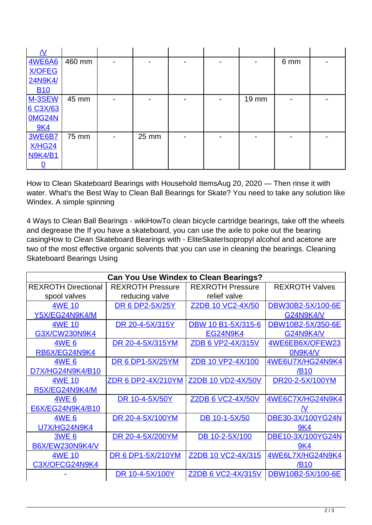| <b>4WE6A6</b>  | 460 mm |                |       |  |       | 6 mm |  |
|----------------|--------|----------------|-------|--|-------|------|--|
| <b>X/OFEG</b>  |        |                |       |  |       |      |  |
| <b>24N9K4/</b> |        |                |       |  |       |      |  |
| <b>B10</b>     |        |                |       |  |       |      |  |
| M-3SEW         | 45 mm  |                |       |  | 19 mm |      |  |
| 6 C3X/63       |        |                |       |  |       |      |  |
| <b>0MG24N</b>  |        |                |       |  |       |      |  |
| <b>9K4</b>     |        |                |       |  |       |      |  |
| <b>3WE6B7</b>  | 75 mm  | $\blacksquare$ | 25 mm |  |       |      |  |
| <b>X/HG24</b>  |        |                |       |  |       |      |  |
| <b>N9K4/B1</b> |        |                |       |  |       |      |  |
|                |        |                |       |  |       |      |  |

How to Clean Skateboard Bearings with Household ItemsAug 20, 2020 — Then rinse it with water. What's the Best Way to Clean Ball Bearings for Skate? You need to take any solution like Windex. A simple spinning

4 Ways to Clean Ball Bearings - wikiHowTo clean bicycle cartridge bearings, take off the wheels and degrease the If you have a skateboard, you can use the axle to poke out the bearing casingHow to Clean Skateboard Bearings with - EliteSkaterIsopropyl alcohol and acetone are two of the most effective organic solvents that you can use in cleaning the bearings. Cleaning Skateboard Bearings Using

| <b>Can You Use Windex to Clean Bearings?</b> |                           |                           |                       |  |  |  |
|----------------------------------------------|---------------------------|---------------------------|-----------------------|--|--|--|
| <b>REXROTH Directional</b>                   | <b>REXROTH Pressure</b>   | <b>REXROTH Pressure</b>   | <b>REXROTH Valves</b> |  |  |  |
| spool valves                                 | reducing valve            | relief valve              |                       |  |  |  |
| <b>4WE 10</b>                                | <b>DR 6 DP2-5X/25Y</b>    | Z2DB 10 VC2-4X/50         | DBW30B2-5X/100-6E     |  |  |  |
| Y5X/EG24N9K4/M                               |                           |                           | <b>G24N9K4/V</b>      |  |  |  |
| <b>4WE 10</b>                                | DR 20-4-5X/315Y           | DBW 10 B1-5X/315-6        | DBW10B2-5X/350-6E     |  |  |  |
| G3X/CW230N9K4                                |                           | <b>EG24N9K4</b>           | <b>G24N9K4/V</b>      |  |  |  |
| <b>4WE 6</b>                                 | DR 20-4-5X/315YM          | ZDB 6 VP2-4X/315V         | 4WE6EB6X/OFEW23       |  |  |  |
| RB6X/EG24N9K4                                |                           |                           | 0N9K4/V               |  |  |  |
| <b>4WE 6</b>                                 | <b>DR 6 DP1-5X/25YM</b>   | ZDB 10 VP2-4X/100         | 4WE6U7X/HG24N9K4      |  |  |  |
| D7X/HG24N9K4/B10                             |                           |                           | /B10                  |  |  |  |
| 4WE 10                                       | <u>ZDR 6 DP2-4X/210YM</u> | <b>Z2DB 10 VD2-4X/50V</b> | DR20-2-5X/100YM       |  |  |  |
| R5X/EG24N9K4/M                               |                           |                           |                       |  |  |  |
| <b>4WE 6</b>                                 | DR 10-4-5X/50Y            | Z2DB 6 VC2-4X/50V         | 4WE6C7X/HG24N9K4      |  |  |  |
| E6X/EG24N9K4/B10                             |                           |                           |                       |  |  |  |
| <b>4WE 6</b>                                 | DR 20-4-5X/100YM          | DB 10-1-5X/50             | DBE30-3X/100YG24N     |  |  |  |
| <b>U7X/HG24N9K4</b>                          |                           |                           | 9K4                   |  |  |  |
| <b>3WE 6</b>                                 | DR 20-4-5X/200YM          | DB 10-2-5X/100            | DBE10-3X/100YG24N     |  |  |  |
| B6X/EW230N9K4/V                              |                           |                           | 9K4                   |  |  |  |
| <b>4WE 10</b>                                | <b>DR 6 DP1-5X/210YM</b>  | Z2DB 10 VC2-4X/315        | 4WE6L7X/HG24N9K4      |  |  |  |
| C3X/OFCG24N9K4                               |                           |                           | /B <sub>10</sub>      |  |  |  |
|                                              | DR 10-4-5X/100Y           | Z2DB 6 VC2-4X/315V        | DBW10B2-5X/100-6E     |  |  |  |